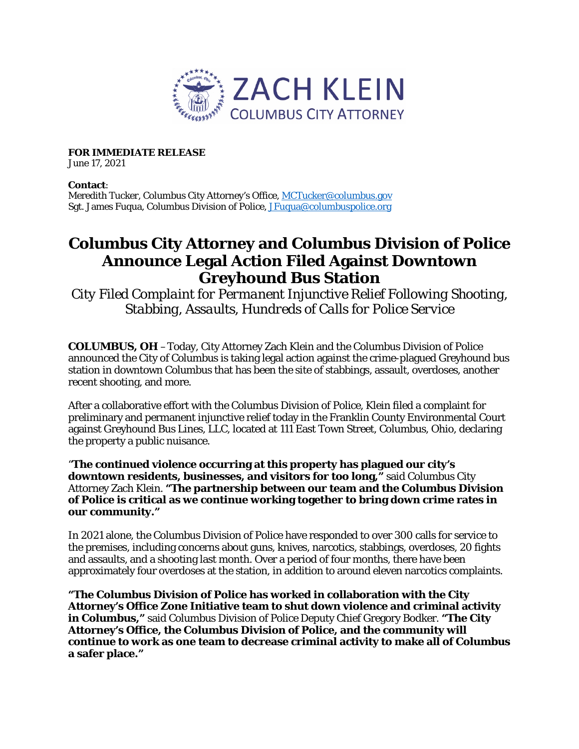

**FOR IMMEDIATE RELEASE**

June 17, 2021

## **Contact**:

Meredith Tucker, Columbus City Attorney's Office, [MCTucker@columbus.gov](mailto:MCTucker@columbus.gov) Sgt. James Fuqua, Columbus Division of Police, J**Fuqua@columbuspolice.org** 

## **Columbus City Attorney and Columbus Division of Police Announce Legal Action Filed Against Downtown Greyhound Bus Station**

*City Filed Complaint for Permanent Injunctive Relief Following Shooting, Stabbing, Assaults, Hundreds of Calls for Police Service*

**COLUMBUS, OH** –Today, City Attorney Zach Klein and the Columbus Division of Police announced the City of Columbus is taking legal action against the crime-plagued Greyhound bus station in downtown Columbus that has been the site of stabbings, assault, overdoses, another recent shooting, and more.

After a collaborative effort with the Columbus Division of Police, Klein filed a complaint for preliminary and permanent injunctive relief today in the Franklin County Environmental Court against Greyhound Bus Lines, LLC, located at 111 East Town Street, Columbus, Ohio, declaring the property a public nuisance.

"**The continued violence occurring at this property has plagued our city's downtown residents, businesses, and visitors for too long,"** said Columbus City Attorney Zach Klein. **"The partnership between our team and the Columbus Division of Police is critical as we continue working together to bring down crime rates in our community."**

In 2021 alone, the Columbus Division of Police have responded to over 300 calls for service to the premises, including concerns about guns, knives, narcotics, stabbings, overdoses, 20 fights and assaults, and a shooting last month. Over a period of four months, there have been approximately four overdoses at the station, in addition to around eleven narcotics complaints.

**"The Columbus Division of Police has worked in collaboration with the City Attorney's Office Zone Initiative team to shut down violence and criminal activity in Columbus,"** said Columbus Division of Police Deputy Chief Gregory Bodker. **"The City Attorney's Office, the Columbus Division of Police, and the community will continue to work as one team to decrease criminal activity to make all of Columbus a safer place."**